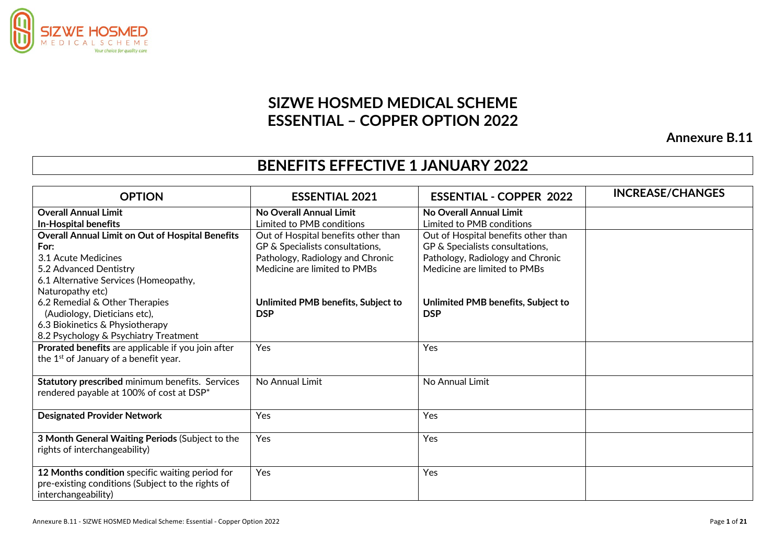

## **SIZWE HOSMED MEDICAL SCHEME ESSENTIAL – COPPER OPTION 2022**

**Annexure B.11**

## **BENEFITS EFFECTIVE 1 JANUARY 2022**

| <b>OPTION</b>                                           | <b>ESSENTIAL 2021</b>               | <b>ESSENTIAL - COPPER 2022</b>      | <b>INCREASE/CHANGES</b> |
|---------------------------------------------------------|-------------------------------------|-------------------------------------|-------------------------|
| <b>Overall Annual Limit</b>                             | No Overall Annual Limit             | No Overall Annual Limit             |                         |
| <b>In-Hospital benefits</b>                             | Limited to PMB conditions           | Limited to PMB conditions           |                         |
| <b>Overall Annual Limit on Out of Hospital Benefits</b> | Out of Hospital benefits other than | Out of Hospital benefits other than |                         |
| For:                                                    | GP & Specialists consultations,     | GP & Specialists consultations,     |                         |
| 3.1 Acute Medicines                                     | Pathology, Radiology and Chronic    | Pathology, Radiology and Chronic    |                         |
| 5.2 Advanced Dentistry                                  | Medicine are limited to PMBs        | Medicine are limited to PMBs        |                         |
| 6.1 Alternative Services (Homeopathy,                   |                                     |                                     |                         |
| Naturopathy etc)                                        |                                     |                                     |                         |
| 6.2 Remedial & Other Therapies                          | Unlimited PMB benefits, Subject to  | Unlimited PMB benefits, Subject to  |                         |
| (Audiology, Dieticians etc),                            | <b>DSP</b>                          | <b>DSP</b>                          |                         |
| 6.3 Biokinetics & Physiotherapy                         |                                     |                                     |                         |
| 8.2 Psychology & Psychiatry Treatment                   |                                     |                                     |                         |
| Prorated benefits are applicable if you join after      | Yes                                 | Yes                                 |                         |
| the 1 <sup>st</sup> of January of a benefit year.       |                                     |                                     |                         |
| Statutory prescribed minimum benefits. Services         | No Annual Limit                     | No Annual Limit                     |                         |
| rendered payable at 100% of cost at DSP*                |                                     |                                     |                         |
|                                                         |                                     |                                     |                         |
| <b>Designated Provider Network</b>                      | Yes                                 | Yes                                 |                         |
| 3 Month General Waiting Periods (Subject to the         | Yes                                 | Yes                                 |                         |
| rights of interchangeability)                           |                                     |                                     |                         |
|                                                         |                                     |                                     |                         |
| 12 Months condition specific waiting period for         | Yes                                 | Yes                                 |                         |
| pre-existing conditions (Subject to the rights of       |                                     |                                     |                         |
| interchangeability)                                     |                                     |                                     |                         |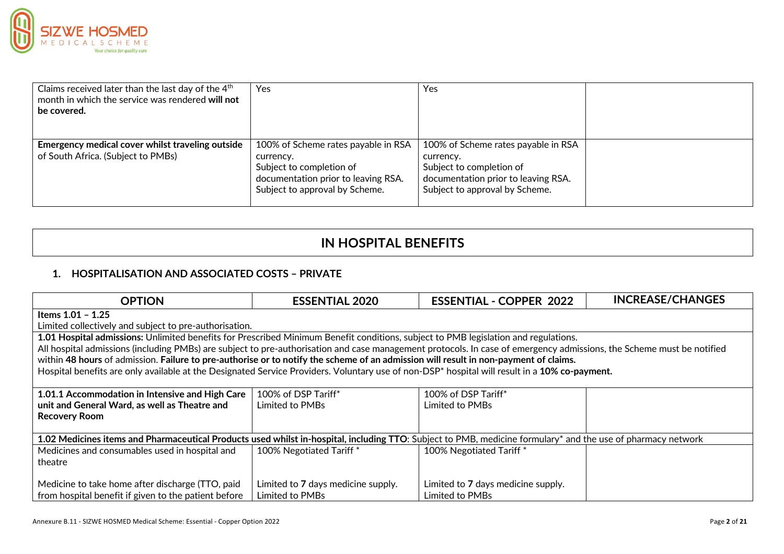

| Claims received later than the last day of the 4 <sup>th</sup><br>month in which the service was rendered will not<br>be covered. | Yes                                                                                                                                                   | <b>Yes</b>                                                                                                                                            |  |
|-----------------------------------------------------------------------------------------------------------------------------------|-------------------------------------------------------------------------------------------------------------------------------------------------------|-------------------------------------------------------------------------------------------------------------------------------------------------------|--|
| Emergency medical cover whilst traveling outside<br>of South Africa. (Subject to PMBs)                                            | 100% of Scheme rates payable in RSA<br>currency.<br>Subject to completion of<br>documentation prior to leaving RSA.<br>Subject to approval by Scheme. | 100% of Scheme rates payable in RSA<br>currency.<br>Subject to completion of<br>documentation prior to leaving RSA.<br>Subject to approval by Scheme. |  |

## **IN HOSPITAL BENEFITS**

## **1. HOSPITALISATION AND ASSOCIATED COSTS – PRIVATE**

| <b>OPTION</b>                                                                                                                                                         | <b>ESSENTIAL 2020</b>              | <b>ESSENTIAL - COPPER 2022</b>     | <b>INCREASE/CHANGES</b> |
|-----------------------------------------------------------------------------------------------------------------------------------------------------------------------|------------------------------------|------------------------------------|-------------------------|
| Items 1.01 - 1.25                                                                                                                                                     |                                    |                                    |                         |
| Limited collectively and subject to pre-authorisation.                                                                                                                |                                    |                                    |                         |
| 1.01 Hospital admissions: Unlimited benefits for Prescribed Minimum Benefit conditions, subject to PMB legislation and regulations.                                   |                                    |                                    |                         |
| All hospital admissions (including PMBs) are subject to pre-authorisation and case management protocols. In case of emergency admissions, the Scheme must be notified |                                    |                                    |                         |
| within 48 hours of admission. Failure to pre-authorise or to notify the scheme of an admission will result in non-payment of claims.                                  |                                    |                                    |                         |
| Hospital benefits are only available at the Designated Service Providers. Voluntary use of non-DSP* hospital will result in a 10% co-payment.                         |                                    |                                    |                         |
|                                                                                                                                                                       |                                    |                                    |                         |
| 1.01.1 Accommodation in Intensive and High Care                                                                                                                       | 100% of DSP Tariff*                | 100% of DSP Tariff*                |                         |
| unit and General Ward, as well as Theatre and                                                                                                                         | Limited to PMBs                    | Limited to PMBs                    |                         |
| <b>Recovery Room</b>                                                                                                                                                  |                                    |                                    |                         |
|                                                                                                                                                                       |                                    |                                    |                         |
| 1.02 Medicines items and Pharmaceutical Products used whilst in-hospital, including TTO: Subject to PMB, medicine formulary* and the use of pharmacy network          |                                    |                                    |                         |
| Medicines and consumables used in hospital and                                                                                                                        | 100% Negotiated Tariff*            | 100% Negotiated Tariff*            |                         |
| theatre                                                                                                                                                               |                                    |                                    |                         |
|                                                                                                                                                                       |                                    |                                    |                         |
| Medicine to take home after discharge (TTO, paid                                                                                                                      | Limited to 7 days medicine supply. | Limited to 7 days medicine supply. |                         |
| from hospital benefit if given to the patient before                                                                                                                  | Limited to PMBs                    | Limited to PMBs                    |                         |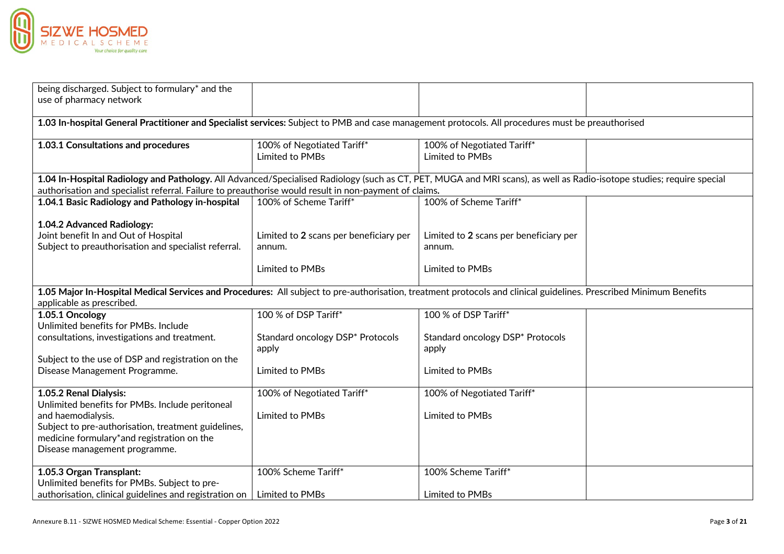

| being discharged. Subject to formulary* and the<br>use of pharmacy network                                                                                                                                                                                                     |                                                  |                                                  |  |
|--------------------------------------------------------------------------------------------------------------------------------------------------------------------------------------------------------------------------------------------------------------------------------|--------------------------------------------------|--------------------------------------------------|--|
| 1.03 In-hospital General Practitioner and Specialist services: Subject to PMB and case management protocols. All procedures must be preauthorised                                                                                                                              |                                                  |                                                  |  |
| 1.03.1 Consultations and procedures                                                                                                                                                                                                                                            | 100% of Negotiated Tariff*<br>Limited to PMBs    | 100% of Negotiated Tariff*<br>Limited to PMBs    |  |
| 1.04 In-Hospital Radiology and Pathology. All Advanced/Specialised Radiology (such as CT, PET, MUGA and MRI scans), as well as Radio-isotope studies; require special<br>authorisation and specialist referral. Failure to preauthorise would result in non-payment of claims. |                                                  |                                                  |  |
| 1.04.1 Basic Radiology and Pathology in-hospital                                                                                                                                                                                                                               | 100% of Scheme Tariff*                           | 100% of Scheme Tariff*                           |  |
| 1.04.2 Advanced Radiology:<br>Joint benefit In and Out of Hospital<br>Subject to preauthorisation and specialist referral.                                                                                                                                                     | Limited to 2 scans per beneficiary per<br>annum. | Limited to 2 scans per beneficiary per<br>annum. |  |
|                                                                                                                                                                                                                                                                                | Limited to PMBs                                  | Limited to PMBs                                  |  |
| 1.05 Major In-Hospital Medical Services and Procedures: All subject to pre-authorisation, treatment protocols and clinical guidelines. Prescribed Minimum Benefits<br>applicable as prescribed.                                                                                |                                                  |                                                  |  |
| 1.05.1 Oncology<br>Unlimited benefits for PMBs. Include                                                                                                                                                                                                                        | 100 % of DSP Tariff*                             | 100 % of DSP Tariff*                             |  |
| consultations, investigations and treatment.                                                                                                                                                                                                                                   | Standard oncology DSP* Protocols<br>apply        | Standard oncology DSP* Protocols<br>apply        |  |
| Subject to the use of DSP and registration on the<br>Disease Management Programme.                                                                                                                                                                                             | Limited to PMBs                                  | Limited to PMBs                                  |  |
| 1.05.2 Renal Dialysis:<br>Unlimited benefits for PMBs. Include peritoneal<br>and haemodialysis.<br>Subject to pre-authorisation, treatment guidelines,<br>medicine formulary*and registration on the<br>Disease management programme.                                          | 100% of Negotiated Tariff*<br>Limited to PMBs    | 100% of Negotiated Tariff*<br>Limited to PMBs    |  |
| 1.05.3 Organ Transplant:<br>Unlimited benefits for PMBs. Subject to pre-                                                                                                                                                                                                       | 100% Scheme Tariff*                              | 100% Scheme Tariff*                              |  |
| authorisation, clinical guidelines and registration on                                                                                                                                                                                                                         | Limited to PMBs                                  | Limited to PMBs                                  |  |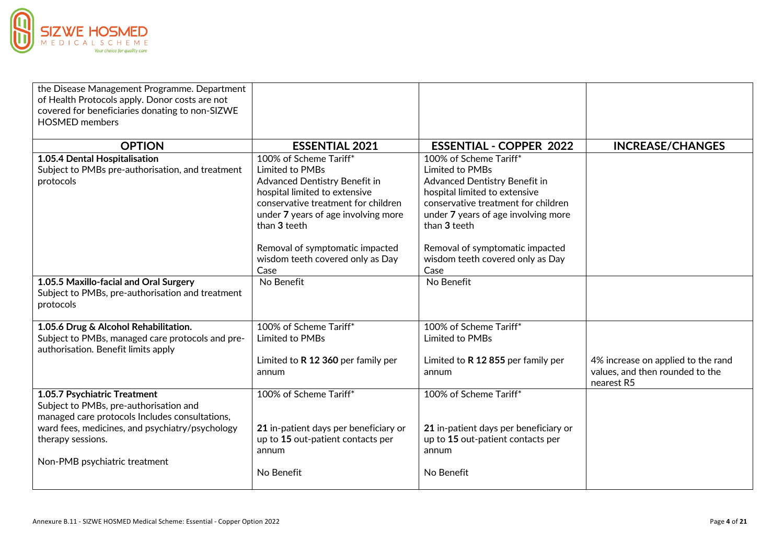

| the Disease Management Programme. Department<br>of Health Protocols apply. Donor costs are not<br>covered for beneficiaries donating to non-SIZWE<br><b>HOSMED</b> members |                                                                                                                                                                                                           |                                                                                                                                                                                                           |                                                                       |
|----------------------------------------------------------------------------------------------------------------------------------------------------------------------------|-----------------------------------------------------------------------------------------------------------------------------------------------------------------------------------------------------------|-----------------------------------------------------------------------------------------------------------------------------------------------------------------------------------------------------------|-----------------------------------------------------------------------|
| <b>OPTION</b>                                                                                                                                                              | <b>ESSENTIAL 2021</b>                                                                                                                                                                                     | <b>ESSENTIAL - COPPER 2022</b>                                                                                                                                                                            | <b>INCREASE/CHANGES</b>                                               |
| 1.05.4 Dental Hospitalisation<br>Subject to PMBs pre-authorisation, and treatment<br>protocols                                                                             | 100% of Scheme Tariff*<br>Limited to PMBs<br>Advanced Dentistry Benefit in<br>hospital limited to extensive<br>conservative treatment for children<br>under 7 years of age involving more<br>than 3 teeth | 100% of Scheme Tariff*<br>Limited to PMBs<br>Advanced Dentistry Benefit in<br>hospital limited to extensive<br>conservative treatment for children<br>under 7 years of age involving more<br>than 3 teeth |                                                                       |
|                                                                                                                                                                            | Removal of symptomatic impacted<br>wisdom teeth covered only as Day<br>Case                                                                                                                               | Removal of symptomatic impacted<br>wisdom teeth covered only as Day<br>Case                                                                                                                               |                                                                       |
| 1.05.5 Maxillo-facial and Oral Surgery<br>Subject to PMBs, pre-authorisation and treatment<br>protocols                                                                    | No Benefit                                                                                                                                                                                                | No Benefit                                                                                                                                                                                                |                                                                       |
| 1.05.6 Drug & Alcohol Rehabilitation.<br>Subject to PMBs, managed care protocols and pre-<br>authorisation. Benefit limits apply                                           | 100% of Scheme Tariff*<br>Limited to PMBs<br>Limited to R 12 360 per family per<br>annum                                                                                                                  | 100% of Scheme Tariff*<br>Limited to PMBs<br>Limited to R 12 855 per family per<br>annum                                                                                                                  | 4% increase on applied to the rand<br>values, and then rounded to the |
|                                                                                                                                                                            |                                                                                                                                                                                                           |                                                                                                                                                                                                           | nearest R5                                                            |
| 1.05.7 Psychiatric Treatment<br>Subject to PMBs, pre-authorisation and<br>managed care protocols Includes consultations,                                                   | 100% of Scheme Tariff*                                                                                                                                                                                    | 100% of Scheme Tariff*                                                                                                                                                                                    |                                                                       |
| ward fees, medicines, and psychiatry/psychology<br>therapy sessions.<br>Non-PMB psychiatric treatment                                                                      | 21 in-patient days per beneficiary or<br>up to 15 out-patient contacts per<br>annum                                                                                                                       | 21 in-patient days per beneficiary or<br>up to 15 out-patient contacts per<br>annum                                                                                                                       |                                                                       |
|                                                                                                                                                                            | No Benefit                                                                                                                                                                                                | No Benefit                                                                                                                                                                                                |                                                                       |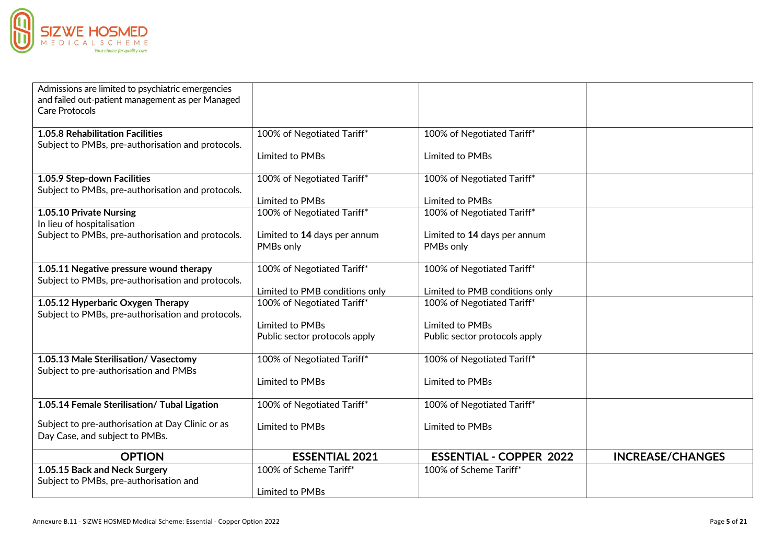

| Admissions are limited to psychiatric emergencies<br>and failed out-patient management as per Managed<br>Care Protocols |                                |                                |                         |
|-------------------------------------------------------------------------------------------------------------------------|--------------------------------|--------------------------------|-------------------------|
| <b>1.05.8 Rehabilitation Facilities</b>                                                                                 | 100% of Negotiated Tariff*     | 100% of Negotiated Tariff*     |                         |
| Subject to PMBs, pre-authorisation and protocols.                                                                       |                                |                                |                         |
|                                                                                                                         | Limited to PMBs                | Limited to PMBs                |                         |
| 1.05.9 Step-down Facilities                                                                                             | 100% of Negotiated Tariff*     | 100% of Negotiated Tariff*     |                         |
| Subject to PMBs, pre-authorisation and protocols.                                                                       |                                |                                |                         |
|                                                                                                                         | Limited to PMBs                | Limited to PMBs                |                         |
| 1.05.10 Private Nursing<br>In lieu of hospitalisation                                                                   | 100% of Negotiated Tariff*     | 100% of Negotiated Tariff*     |                         |
| Subject to PMBs, pre-authorisation and protocols.                                                                       | Limited to 14 days per annum   | Limited to 14 days per annum   |                         |
|                                                                                                                         | PMBs only                      | PMBs only                      |                         |
| 1.05.11 Negative pressure wound therapy                                                                                 | 100% of Negotiated Tariff*     | 100% of Negotiated Tariff*     |                         |
| Subject to PMBs, pre-authorisation and protocols.                                                                       | Limited to PMB conditions only | Limited to PMB conditions only |                         |
| 1.05.12 Hyperbaric Oxygen Therapy                                                                                       | 100% of Negotiated Tariff*     | 100% of Negotiated Tariff*     |                         |
| Subject to PMBs, pre-authorisation and protocols.                                                                       |                                |                                |                         |
|                                                                                                                         | Limited to PMBs                | Limited to PMBs                |                         |
|                                                                                                                         | Public sector protocols apply  | Public sector protocols apply  |                         |
|                                                                                                                         |                                |                                |                         |
| 1.05.13 Male Sterilisation/ Vasectomy<br>Subject to pre-authorisation and PMBs                                          | 100% of Negotiated Tariff*     | 100% of Negotiated Tariff*     |                         |
|                                                                                                                         | Limited to PMBs                | Limited to PMBs                |                         |
| 1.05.14 Female Sterilisation/ Tubal Ligation                                                                            | 100% of Negotiated Tariff*     | 100% of Negotiated Tariff*     |                         |
|                                                                                                                         |                                |                                |                         |
| Subject to pre-authorisation at Day Clinic or as                                                                        | Limited to PMBs                | Limited to PMBs                |                         |
| Day Case, and subject to PMBs.                                                                                          |                                |                                |                         |
| <b>OPTION</b>                                                                                                           | <b>ESSENTIAL 2021</b>          | <b>ESSENTIAL - COPPER 2022</b> | <b>INCREASE/CHANGES</b> |
| 1.05.15 Back and Neck Surgery                                                                                           | 100% of Scheme Tariff*         | 100% of Scheme Tariff*         |                         |
| Subject to PMBs, pre-authorisation and                                                                                  |                                |                                |                         |
|                                                                                                                         | Limited to PMBs                |                                |                         |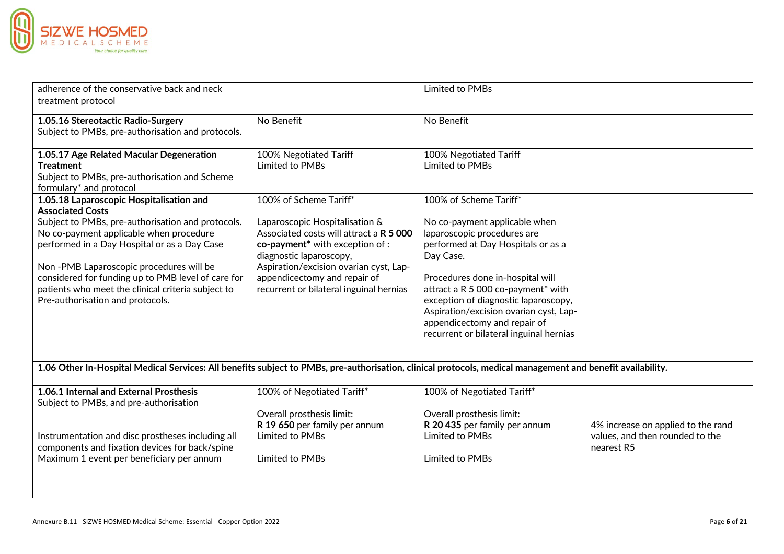

| adherence of the conservative back and neck<br>treatment protocol                                                                                                                                                                                                                                                                                                                                              |                                                                                                                                                                                                                                                                                                    | Limited to PMBs                                                                                                                                                                                                                                                                                                                                                                  |                                                                                     |
|----------------------------------------------------------------------------------------------------------------------------------------------------------------------------------------------------------------------------------------------------------------------------------------------------------------------------------------------------------------------------------------------------------------|----------------------------------------------------------------------------------------------------------------------------------------------------------------------------------------------------------------------------------------------------------------------------------------------------|----------------------------------------------------------------------------------------------------------------------------------------------------------------------------------------------------------------------------------------------------------------------------------------------------------------------------------------------------------------------------------|-------------------------------------------------------------------------------------|
| 1.05.16 Stereotactic Radio-Surgery<br>Subject to PMBs, pre-authorisation and protocols.                                                                                                                                                                                                                                                                                                                        | No Benefit                                                                                                                                                                                                                                                                                         | No Benefit                                                                                                                                                                                                                                                                                                                                                                       |                                                                                     |
| 1.05.17 Age Related Macular Degeneration<br><b>Treatment</b><br>Subject to PMBs, pre-authorisation and Scheme<br>formulary* and protocol                                                                                                                                                                                                                                                                       | 100% Negotiated Tariff<br>Limited to PMBs                                                                                                                                                                                                                                                          | 100% Negotiated Tariff<br>Limited to PMBs                                                                                                                                                                                                                                                                                                                                        |                                                                                     |
| 1.05.18 Laparoscopic Hospitalisation and<br><b>Associated Costs</b><br>Subject to PMBs, pre-authorisation and protocols.<br>No co-payment applicable when procedure<br>performed in a Day Hospital or as a Day Case<br>Non-PMB Laparoscopic procedures will be<br>considered for funding up to PMB level of care for<br>patients who meet the clinical criteria subject to<br>Pre-authorisation and protocols. | 100% of Scheme Tariff*<br>Laparoscopic Hospitalisation &<br>Associated costs will attract a R 5 000<br>co-payment <sup>*</sup> with exception of :<br>diagnostic laparoscopy,<br>Aspiration/excision ovarian cyst, Lap-<br>appendicectomy and repair of<br>recurrent or bilateral inguinal hernias | 100% of Scheme Tariff*<br>No co-payment applicable when<br>laparoscopic procedures are<br>performed at Day Hospitals or as a<br>Day Case.<br>Procedures done in-hospital will<br>attract a R 5 000 co-payment* with<br>exception of diagnostic laparoscopy,<br>Aspiration/excision ovarian cyst, Lap-<br>appendicectomy and repair of<br>recurrent or bilateral inguinal hernias |                                                                                     |
| 1.06 Other In-Hospital Medical Services: All benefits subject to PMBs, pre-authorisation, clinical protocols, medical management and benefit availability.                                                                                                                                                                                                                                                     |                                                                                                                                                                                                                                                                                                    |                                                                                                                                                                                                                                                                                                                                                                                  |                                                                                     |
| 1.06.1 Internal and External Prosthesis<br>Subject to PMBs, and pre-authorisation                                                                                                                                                                                                                                                                                                                              | 100% of Negotiated Tariff*<br>Overall prosthesis limit:                                                                                                                                                                                                                                            | 100% of Negotiated Tariff*<br>Overall prosthesis limit:                                                                                                                                                                                                                                                                                                                          |                                                                                     |
| Instrumentation and disc prostheses including all<br>components and fixation devices for back/spine<br>Maximum 1 event per beneficiary per annum                                                                                                                                                                                                                                                               | R 19 650 per family per annum<br>Limited to PMBs<br>Limited to PMBs                                                                                                                                                                                                                                | R 20 435 per family per annum<br>Limited to PMBs<br>Limited to PMBs                                                                                                                                                                                                                                                                                                              | 4% increase on applied to the rand<br>values, and then rounded to the<br>nearest R5 |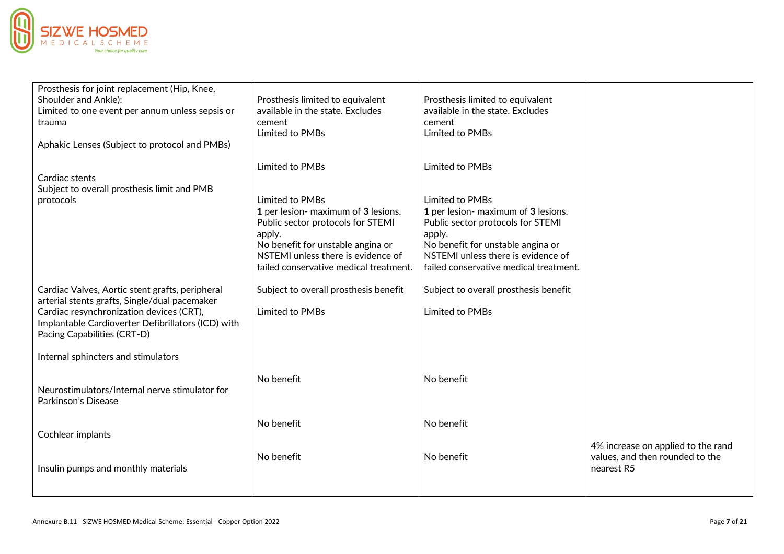

| Prosthesis for joint replacement (Hip, Knee,<br>Shoulder and Ankle):<br>Limited to one event per annum unless sepsis or<br>trauma<br>Aphakic Lenses (Subject to protocol and PMBs)                                                | Prosthesis limited to equivalent<br>available in the state. Excludes<br>cement<br>Limited to PMBs                                                                                                                          | Prosthesis limited to equivalent<br>available in the state. Excludes<br>cement<br>Limited to PMBs                                                                                                                          |                                                                                     |
|-----------------------------------------------------------------------------------------------------------------------------------------------------------------------------------------------------------------------------------|----------------------------------------------------------------------------------------------------------------------------------------------------------------------------------------------------------------------------|----------------------------------------------------------------------------------------------------------------------------------------------------------------------------------------------------------------------------|-------------------------------------------------------------------------------------|
| Cardiac stents<br>Subject to overall prosthesis limit and PMB                                                                                                                                                                     | Limited to PMBs                                                                                                                                                                                                            | Limited to PMBs                                                                                                                                                                                                            |                                                                                     |
| protocols                                                                                                                                                                                                                         | Limited to PMBs<br>1 per lesion- maximum of 3 lesions.<br>Public sector protocols for STEMI<br>apply.<br>No benefit for unstable angina or<br>NSTEMI unless there is evidence of<br>failed conservative medical treatment. | Limited to PMBs<br>1 per lesion- maximum of 3 lesions.<br>Public sector protocols for STEMI<br>apply.<br>No benefit for unstable angina or<br>NSTEMI unless there is evidence of<br>failed conservative medical treatment. |                                                                                     |
| Cardiac Valves, Aortic stent grafts, peripheral<br>arterial stents grafts, Single/dual pacemaker<br>Cardiac resynchronization devices (CRT),<br>Implantable Cardioverter Defibrillators (ICD) with<br>Pacing Capabilities (CRT-D) | Subject to overall prosthesis benefit<br>Limited to PMBs                                                                                                                                                                   | Subject to overall prosthesis benefit<br>Limited to PMBs                                                                                                                                                                   |                                                                                     |
| Internal sphincters and stimulators                                                                                                                                                                                               |                                                                                                                                                                                                                            |                                                                                                                                                                                                                            |                                                                                     |
| Neurostimulators/Internal nerve stimulator for<br>Parkinson's Disease                                                                                                                                                             | No benefit                                                                                                                                                                                                                 | No benefit                                                                                                                                                                                                                 |                                                                                     |
| Cochlear implants                                                                                                                                                                                                                 | No benefit                                                                                                                                                                                                                 | No benefit                                                                                                                                                                                                                 |                                                                                     |
| Insulin pumps and monthly materials                                                                                                                                                                                               | No benefit                                                                                                                                                                                                                 | No benefit                                                                                                                                                                                                                 | 4% increase on applied to the rand<br>values, and then rounded to the<br>nearest R5 |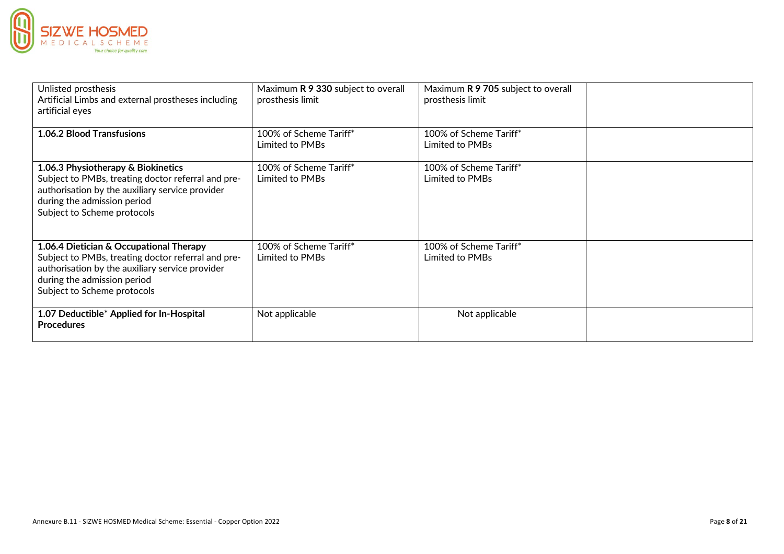

| Unlisted prosthesis<br>Artificial Limbs and external prostheses including<br>artificial eyes                                                                                                                   | Maximum R 9 330 subject to overall<br>prosthesis limit | Maximum R 9 705 subject to overall<br>prosthesis limit |  |
|----------------------------------------------------------------------------------------------------------------------------------------------------------------------------------------------------------------|--------------------------------------------------------|--------------------------------------------------------|--|
| <b>1.06.2 Blood Transfusions</b>                                                                                                                                                                               | 100% of Scheme Tariff*<br>Limited to PMBs              | 100% of Scheme Tariff*<br>Limited to PMBs              |  |
| 1.06.3 Physiotherapy & Biokinetics<br>Subject to PMBs, treating doctor referral and pre-<br>authorisation by the auxiliary service provider<br>during the admission period<br>Subject to Scheme protocols      | 100% of Scheme Tariff*<br>Limited to PMBs              | 100% of Scheme Tariff*<br>Limited to PMBs              |  |
| 1.06.4 Dietician & Occupational Therapy<br>Subject to PMBs, treating doctor referral and pre-<br>authorisation by the auxiliary service provider<br>during the admission period<br>Subject to Scheme protocols | 100% of Scheme Tariff*<br>Limited to PMBs              | 100% of Scheme Tariff*<br>Limited to PMBs              |  |
| 1.07 Deductible* Applied for In-Hospital<br><b>Procedures</b>                                                                                                                                                  | Not applicable                                         | Not applicable                                         |  |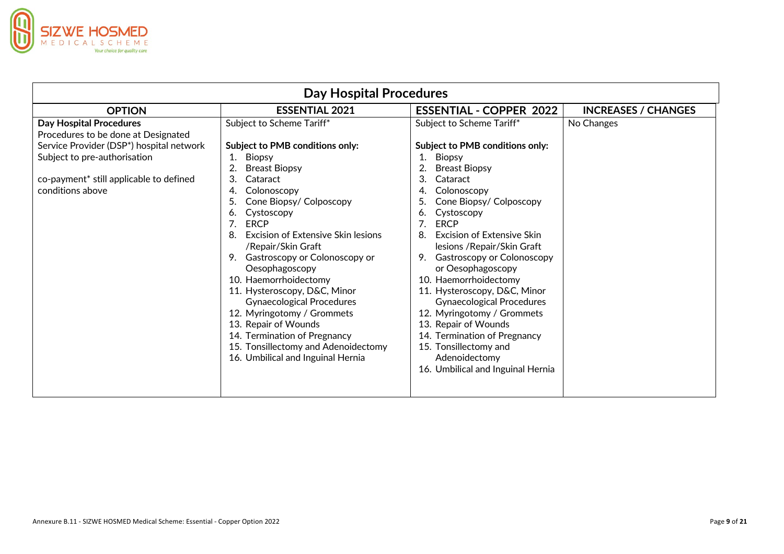

| <b>Day Hospital Procedures</b>                                                                                                                                                                                   |                                                                                                                                                                                                                                                                                                                                                                                                                                                                                                                                                                                                  |                                                                                                                                                                                                                                                                                                                                                                                                                                                                                                                                                                                                                 |                            |
|------------------------------------------------------------------------------------------------------------------------------------------------------------------------------------------------------------------|--------------------------------------------------------------------------------------------------------------------------------------------------------------------------------------------------------------------------------------------------------------------------------------------------------------------------------------------------------------------------------------------------------------------------------------------------------------------------------------------------------------------------------------------------------------------------------------------------|-----------------------------------------------------------------------------------------------------------------------------------------------------------------------------------------------------------------------------------------------------------------------------------------------------------------------------------------------------------------------------------------------------------------------------------------------------------------------------------------------------------------------------------------------------------------------------------------------------------------|----------------------------|
| <b>OPTION</b>                                                                                                                                                                                                    | <b>ESSENTIAL 2021</b>                                                                                                                                                                                                                                                                                                                                                                                                                                                                                                                                                                            | <b>ESSENTIAL - COPPER 2022</b>                                                                                                                                                                                                                                                                                                                                                                                                                                                                                                                                                                                  | <b>INCREASES / CHANGES</b> |
| <b>Day Hospital Procedures</b><br>Procedures to be done at Designated<br>Service Provider (DSP*) hospital network<br>Subject to pre-authorisation<br>co-payment* still applicable to defined<br>conditions above | Subject to Scheme Tariff*<br>Subject to PMB conditions only:<br>Biopsy<br>1.<br><b>Breast Biopsy</b><br>3.<br>Cataract<br>Colonoscopy<br>4.<br>Cone Biopsy/ Colposcopy<br>5.<br>Cystoscopy<br>6.<br><b>ERCP</b><br>Excision of Extensive Skin lesions<br>/Repair/Skin Graft<br>9. Gastroscopy or Colonoscopy or<br>Oesophagoscopy<br>10. Haemorrhoidectomy<br>11. Hysteroscopy, D&C, Minor<br><b>Gynaecological Procedures</b><br>12. Myringotomy / Grommets<br>13. Repair of Wounds<br>14. Termination of Pregnancy<br>15. Tonsillectomy and Adenoidectomy<br>16. Umbilical and Inguinal Hernia | Subject to Scheme Tariff*<br>Subject to PMB conditions only:<br><b>Biopsy</b><br>1.<br><b>Breast Biopsy</b><br>3.<br>Cataract<br>Colonoscopy<br>Cone Biopsy/ Colposcopy<br>Cystoscopy<br>6.<br><b>ERCP</b><br>Excision of Extensive Skin<br>8.<br>lesions / Repair/Skin Graft<br><b>Gastroscopy or Colonoscopy</b><br>9.<br>or Oesophagoscopy<br>10. Haemorrhoidectomy<br>11. Hysteroscopy, D&C, Minor<br><b>Gynaecological Procedures</b><br>12. Myringotomy / Grommets<br>13. Repair of Wounds<br>14. Termination of Pregnancy<br>15. Tonsillectomy and<br>Adenoidectomy<br>16. Umbilical and Inguinal Hernia | No Changes                 |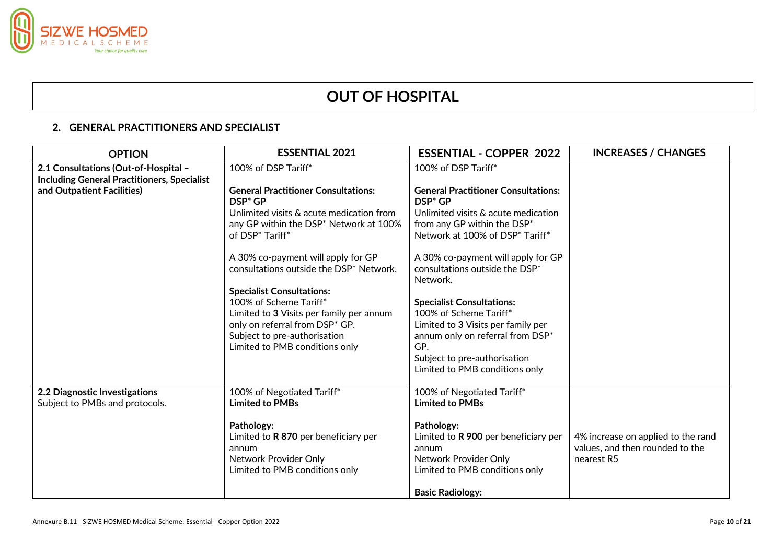

# **OUT OF HOSPITAL**

### **2. GENERAL PRACTITIONERS AND SPECIALIST**

| <b>OPTION</b>                                                                              | <b>ESSENTIAL 2021</b>                                                                          | <b>ESSENTIAL - COPPER 2022</b>                                                   | <b>INCREASES / CHANGES</b>                                            |
|--------------------------------------------------------------------------------------------|------------------------------------------------------------------------------------------------|----------------------------------------------------------------------------------|-----------------------------------------------------------------------|
| 2.1 Consultations (Out-of-Hospital -<br><b>Including General Practitioners, Specialist</b> | 100% of DSP Tariff*                                                                            | 100% of DSP Tariff*                                                              |                                                                       |
| and Outpatient Facilities)                                                                 | <b>General Practitioner Consultations:</b><br>DSP <sup>*</sup> GP                              | <b>General Practitioner Consultations:</b><br>DSP <sup>*</sup> GP                |                                                                       |
|                                                                                            | Unlimited visits & acute medication from<br>any GP within the DSP <sup>*</sup> Network at 100% | Unlimited visits & acute medication<br>from any GP within the DSP*               |                                                                       |
|                                                                                            | of DSP* Tariff*                                                                                | Network at 100% of DSP* Tariff*                                                  |                                                                       |
|                                                                                            | A 30% co-payment will apply for GP<br>consultations outside the DSP* Network.                  | A 30% co-payment will apply for GP<br>consultations outside the DSP*<br>Network. |                                                                       |
|                                                                                            | <b>Specialist Consultations:</b><br>100% of Scheme Tariff*                                     | <b>Specialist Consultations:</b>                                                 |                                                                       |
|                                                                                            | Limited to 3 Visits per family per annum<br>only on referral from DSP* GP.                     | 100% of Scheme Tariff*<br>Limited to 3 Visits per family per                     |                                                                       |
|                                                                                            | Subject to pre-authorisation<br>Limited to PMB conditions only                                 | annum only on referral from DSP*<br>GP.                                          |                                                                       |
|                                                                                            |                                                                                                | Subject to pre-authorisation<br>Limited to PMB conditions only                   |                                                                       |
| 2.2 Diagnostic Investigations<br>Subject to PMBs and protocols.                            | 100% of Negotiated Tariff*<br><b>Limited to PMBs</b>                                           | 100% of Negotiated Tariff*<br><b>Limited to PMBs</b>                             |                                                                       |
|                                                                                            | Pathology:                                                                                     | Pathology:                                                                       |                                                                       |
|                                                                                            | Limited to R 870 per beneficiary per<br>annum                                                  | Limited to R 900 per beneficiary per<br>annum                                    | 4% increase on applied to the rand<br>values, and then rounded to the |
|                                                                                            | Network Provider Only<br>Limited to PMB conditions only                                        | Network Provider Only<br>Limited to PMB conditions only                          | nearest R5                                                            |
|                                                                                            |                                                                                                | <b>Basic Radiology:</b>                                                          |                                                                       |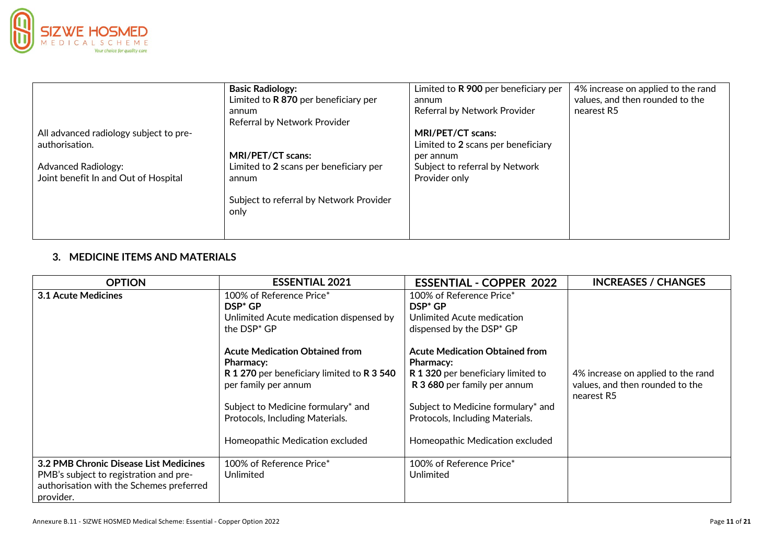

|                                                                                                                                | <b>Basic Radiology:</b><br>Limited to R 870 per beneficiary per<br>annum<br>Referral by Network Provider                | Limited to R 900 per beneficiary per<br>annum<br>Referral by Network Provider                                           | 4% increase on applied to the rand<br>values, and then rounded to the<br>nearest R5 |
|--------------------------------------------------------------------------------------------------------------------------------|-------------------------------------------------------------------------------------------------------------------------|-------------------------------------------------------------------------------------------------------------------------|-------------------------------------------------------------------------------------|
| All advanced radiology subject to pre-<br>authorisation.<br><b>Advanced Radiology:</b><br>Joint benefit In and Out of Hospital | MRI/PET/CT scans:<br>Limited to 2 scans per beneficiary per<br>annum<br>Subject to referral by Network Provider<br>only | MRI/PET/CT scans:<br>Limited to 2 scans per beneficiary<br>per annum<br>Subject to referral by Network<br>Provider only |                                                                                     |

## **3. MEDICINE ITEMS AND MATERIALS**

| <b>OPTION</b>                                                                                                                             | <b>ESSENTIAL 2021</b>                                                                                                           | <b>ESSENTIAL - COPPER 2022</b>                                                                                                  | <b>INCREASES / CHANGES</b>                                                          |
|-------------------------------------------------------------------------------------------------------------------------------------------|---------------------------------------------------------------------------------------------------------------------------------|---------------------------------------------------------------------------------------------------------------------------------|-------------------------------------------------------------------------------------|
| 3.1 Acute Medicines                                                                                                                       | 100% of Reference Price*<br>$DSP^*GP$<br>Unlimited Acute medication dispensed by<br>the $\mathsf{DSP}^*\mathsf{GP}$             | 100% of Reference Price*<br>$\mathsf{DSP}^*\mathsf{GP}$<br>Unlimited Acute medication<br>dispensed by the DSP* GP               |                                                                                     |
|                                                                                                                                           | <b>Acute Medication Obtained from</b><br><b>Pharmacy:</b><br>R 1 270 per beneficiary limited to R 3 540<br>per family per annum | <b>Acute Medication Obtained from</b><br><b>Pharmacy:</b><br>R 1 320 per beneficiary limited to<br>R 3 680 per family per annum | 4% increase on applied to the rand<br>values, and then rounded to the<br>nearest R5 |
|                                                                                                                                           | Subject to Medicine formulary* and<br>Protocols, Including Materials.<br>Homeopathic Medication excluded                        | Subject to Medicine formulary* and<br>Protocols, Including Materials.<br>Homeopathic Medication excluded                        |                                                                                     |
| 3.2 PMB Chronic Disease List Medicines<br>PMB's subject to registration and pre-<br>authorisation with the Schemes preferred<br>provider. | 100% of Reference Price*<br>Unlimited                                                                                           | 100% of Reference Price*<br>Unlimited                                                                                           |                                                                                     |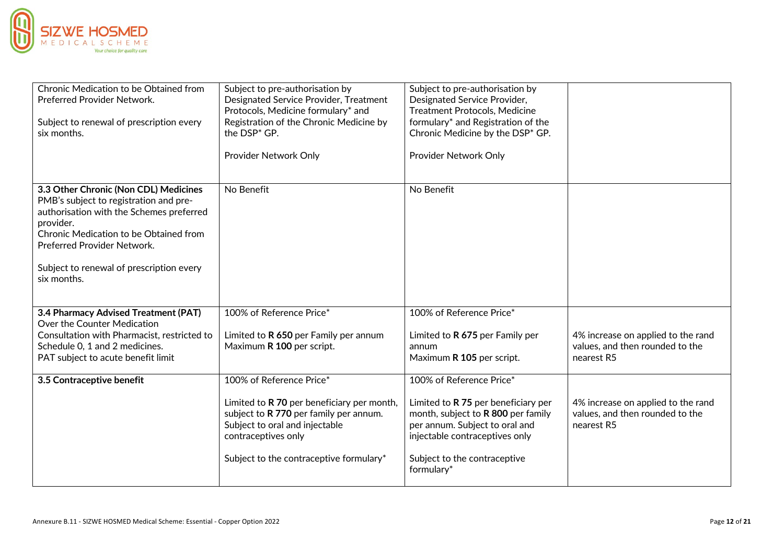

| Chronic Medication to be Obtained from<br>Preferred Provider Network.<br>Subject to renewal of prescription every<br>six months.                                                                                                                                             | Subject to pre-authorisation by<br>Designated Service Provider, Treatment<br>Protocols, Medicine formulary* and<br>Registration of the Chronic Medicine by<br>the DSP <sup>*</sup> GP.   | Subject to pre-authorisation by<br>Designated Service Provider,<br><b>Treatment Protocols, Medicine</b><br>formulary* and Registration of the<br>Chronic Medicine by the DSP* GP.           |                                                                                     |
|------------------------------------------------------------------------------------------------------------------------------------------------------------------------------------------------------------------------------------------------------------------------------|------------------------------------------------------------------------------------------------------------------------------------------------------------------------------------------|---------------------------------------------------------------------------------------------------------------------------------------------------------------------------------------------|-------------------------------------------------------------------------------------|
|                                                                                                                                                                                                                                                                              | Provider Network Only                                                                                                                                                                    | Provider Network Only                                                                                                                                                                       |                                                                                     |
| 3.3 Other Chronic (Non CDL) Medicines<br>PMB's subject to registration and pre-<br>authorisation with the Schemes preferred<br>provider.<br>Chronic Medication to be Obtained from<br>Preferred Provider Network.<br>Subject to renewal of prescription every<br>six months. | No Benefit                                                                                                                                                                               | No Benefit                                                                                                                                                                                  |                                                                                     |
| 3.4 Pharmacy Advised Treatment (PAT)<br>Over the Counter Medication                                                                                                                                                                                                          | 100% of Reference Price*                                                                                                                                                                 | 100% of Reference Price*                                                                                                                                                                    |                                                                                     |
| Consultation with Pharmacist, restricted to<br>Schedule 0, 1 and 2 medicines.<br>PAT subject to acute benefit limit                                                                                                                                                          | Limited to R 650 per Family per annum<br>Maximum R 100 per script.                                                                                                                       | Limited to R 675 per Family per<br>annum<br>Maximum R 105 per script.                                                                                                                       | 4% increase on applied to the rand<br>values, and then rounded to the<br>nearest R5 |
| 3.5 Contraceptive benefit                                                                                                                                                                                                                                                    | 100% of Reference Price*                                                                                                                                                                 | 100% of Reference Price*                                                                                                                                                                    |                                                                                     |
|                                                                                                                                                                                                                                                                              | Limited to R 70 per beneficiary per month,<br>subject to R 770 per family per annum.<br>Subject to oral and injectable<br>contraceptives only<br>Subject to the contraceptive formulary* | Limited to R 75 per beneficiary per<br>month, subject to R 800 per family<br>per annum. Subject to oral and<br>injectable contraceptives only<br>Subject to the contraceptive<br>formulary* | 4% increase on applied to the rand<br>values, and then rounded to the<br>nearest R5 |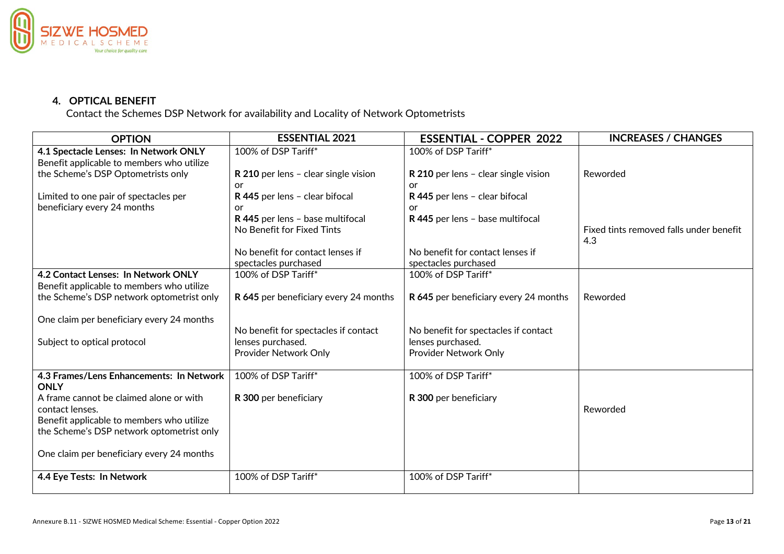

## **4. OPTICAL BENEFIT**

Contact the Schemes DSP Network for availability and Locality of Network Optometrists

| <b>OPTION</b>                                           | <b>ESSENTIAL 2021</b>                 | <b>ESSENTIAL - COPPER 2022</b>        | <b>INCREASES / CHANGES</b>                     |
|---------------------------------------------------------|---------------------------------------|---------------------------------------|------------------------------------------------|
| 4.1 Spectacle Lenses: In Network ONLY                   | 100% of DSP Tariff*                   | 100% of DSP Tariff*                   |                                                |
| Benefit applicable to members who utilize               |                                       |                                       |                                                |
| the Scheme's DSP Optometrists only                      | R 210 per lens - clear single vision  | R 210 per lens - clear single vision  | Reworded                                       |
|                                                         | or                                    | or                                    |                                                |
| Limited to one pair of spectacles per                   | R 445 per lens - clear bifocal        | R 445 per lens - clear bifocal        |                                                |
| beneficiary every 24 months                             | or                                    | or                                    |                                                |
|                                                         | R 445 per lens - base multifocal      | R 445 per lens - base multifocal      |                                                |
|                                                         | No Benefit for Fixed Tints            |                                       | Fixed tints removed falls under benefit<br>4.3 |
|                                                         | No benefit for contact lenses if      | No benefit for contact lenses if      |                                                |
|                                                         | spectacles purchased                  | spectacles purchased                  |                                                |
| 4.2 Contact Lenses: In Network ONLY                     | 100% of DSP Tariff*                   | 100% of DSP Tariff*                   |                                                |
| Benefit applicable to members who utilize               |                                       |                                       |                                                |
| the Scheme's DSP network optometrist only               | R 645 per beneficiary every 24 months | R 645 per beneficiary every 24 months | Reworded                                       |
| One claim per beneficiary every 24 months               |                                       |                                       |                                                |
|                                                         | No benefit for spectacles if contact  | No benefit for spectacles if contact  |                                                |
| Subject to optical protocol                             | lenses purchased.                     | lenses purchased.                     |                                                |
|                                                         | Provider Network Only                 | Provider Network Only                 |                                                |
| 4.3 Frames/Lens Enhancements: In Network<br><b>ONLY</b> | 100% of DSP Tariff*                   | 100% of DSP Tariff*                   |                                                |
| A frame cannot be claimed alone or with                 | R 300 per beneficiary                 | R 300 per beneficiary                 |                                                |
| contact lenses.                                         |                                       |                                       | Reworded                                       |
| Benefit applicable to members who utilize               |                                       |                                       |                                                |
| the Scheme's DSP network optometrist only               |                                       |                                       |                                                |
|                                                         |                                       |                                       |                                                |
| One claim per beneficiary every 24 months               |                                       |                                       |                                                |
| 4.4 Eye Tests: In Network                               | 100% of DSP Tariff*                   | 100% of DSP Tariff*                   |                                                |
|                                                         |                                       |                                       |                                                |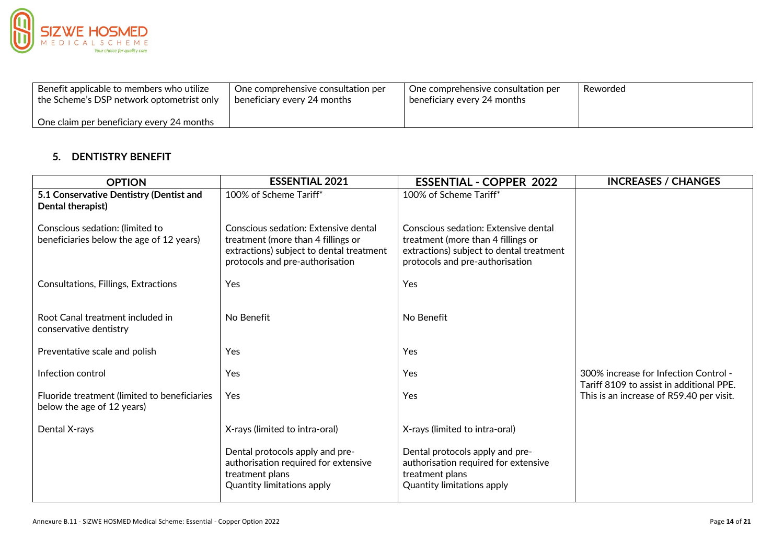

| Benefit applicable to members who utilize | One comprehensive consultation per | One comprehensive consultation per | Reworded |
|-------------------------------------------|------------------------------------|------------------------------------|----------|
| the Scheme's DSP network optometrist only | beneficiary every 24 months        | beneficiary every 24 months        |          |
| One claim per beneficiary every 24 months |                                    |                                    |          |

## **5. DENTISTRY BENEFIT**

| <b>OPTION</b>                                                               | <b>ESSENTIAL 2021</b>                                                                                                                                     | <b>ESSENTIAL - COPPER 2022</b>                                                                                                                            | <b>INCREASES / CHANGES</b>                                                        |
|-----------------------------------------------------------------------------|-----------------------------------------------------------------------------------------------------------------------------------------------------------|-----------------------------------------------------------------------------------------------------------------------------------------------------------|-----------------------------------------------------------------------------------|
| 5.1 Conservative Dentistry (Dentist and<br>Dental therapist)                | 100% of Scheme Tariff*                                                                                                                                    | 100% of Scheme Tariff*                                                                                                                                    |                                                                                   |
| Conscious sedation: (limited to<br>beneficiaries below the age of 12 years) | Conscious sedation: Extensive dental<br>treatment (more than 4 fillings or<br>extractions) subject to dental treatment<br>protocols and pre-authorisation | Conscious sedation: Extensive dental<br>treatment (more than 4 fillings or<br>extractions) subject to dental treatment<br>protocols and pre-authorisation |                                                                                   |
| <b>Consultations, Fillings, Extractions</b>                                 | Yes                                                                                                                                                       | Yes                                                                                                                                                       |                                                                                   |
| Root Canal treatment included in<br>conservative dentistry                  | No Benefit                                                                                                                                                | No Benefit                                                                                                                                                |                                                                                   |
| Preventative scale and polish                                               | Yes                                                                                                                                                       | Yes                                                                                                                                                       |                                                                                   |
| Infection control                                                           | Yes                                                                                                                                                       | Yes                                                                                                                                                       | 300% increase for Infection Control -<br>Tariff 8109 to assist in additional PPE. |
| Fluoride treatment (limited to beneficiaries<br>below the age of 12 years)  | Yes                                                                                                                                                       | Yes                                                                                                                                                       | This is an increase of R59.40 per visit.                                          |
| Dental X-rays                                                               | X-rays (limited to intra-oral)                                                                                                                            | X-rays (limited to intra-oral)                                                                                                                            |                                                                                   |
|                                                                             | Dental protocols apply and pre-<br>authorisation required for extensive<br>treatment plans<br><b>Quantity limitations apply</b>                           | Dental protocols apply and pre-<br>authorisation required for extensive<br>treatment plans<br><b>Quantity limitations apply</b>                           |                                                                                   |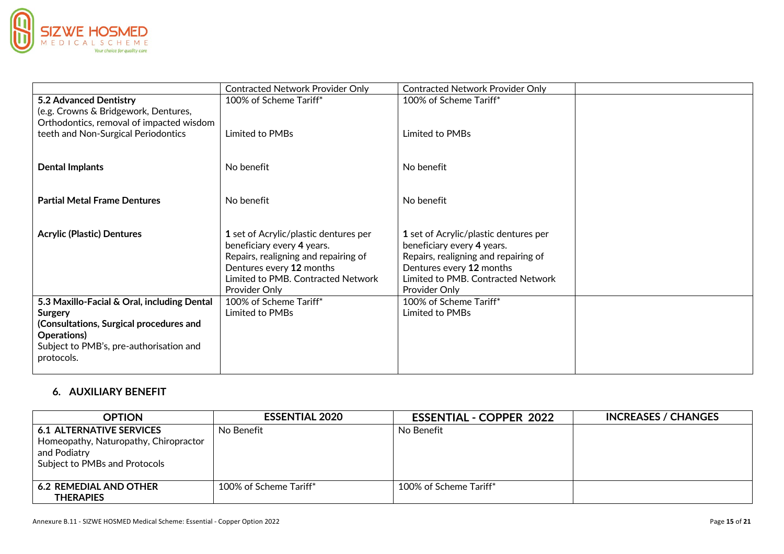

|                                                                                                                 | <b>Contracted Network Provider Only</b>                                                                                                                                                        | <b>Contracted Network Provider Only</b>                                                                                                                                                        |  |
|-----------------------------------------------------------------------------------------------------------------|------------------------------------------------------------------------------------------------------------------------------------------------------------------------------------------------|------------------------------------------------------------------------------------------------------------------------------------------------------------------------------------------------|--|
| 5.2 Advanced Dentistry<br>(e.g. Crowns & Bridgework, Dentures,<br>Orthodontics, removal of impacted wisdom      | 100% of Scheme Tariff*                                                                                                                                                                         | 100% of Scheme Tariff*                                                                                                                                                                         |  |
| teeth and Non-Surgical Periodontics                                                                             | Limited to PMBs                                                                                                                                                                                | Limited to PMBs                                                                                                                                                                                |  |
| <b>Dental Implants</b>                                                                                          | No benefit                                                                                                                                                                                     | No benefit                                                                                                                                                                                     |  |
| <b>Partial Metal Frame Dentures</b>                                                                             | No benefit                                                                                                                                                                                     | No benefit                                                                                                                                                                                     |  |
| <b>Acrylic (Plastic) Dentures</b>                                                                               | 1 set of Acrylic/plastic dentures per<br>beneficiary every 4 years.<br>Repairs, realigning and repairing of<br>Dentures every 12 months<br>Limited to PMB. Contracted Network<br>Provider Only | 1 set of Acrylic/plastic dentures per<br>beneficiary every 4 years.<br>Repairs, realigning and repairing of<br>Dentures every 12 months<br>Limited to PMB. Contracted Network<br>Provider Only |  |
| 5.3 Maxillo-Facial & Oral, including Dental<br>Surgery                                                          | 100% of Scheme Tariff*<br>Limited to PMBs                                                                                                                                                      | 100% of Scheme Tariff*<br>Limited to PMBs                                                                                                                                                      |  |
| (Consultations, Surgical procedures and<br>Operations)<br>Subject to PMB's, pre-authorisation and<br>protocols. |                                                                                                                                                                                                |                                                                                                                                                                                                |  |

### **6. AUXILIARY BENEFIT**

| <b>OPTION</b>                                                                                                             | <b>ESSENTIAL 2020</b>  | <b>ESSENTIAL - COPPER 2022</b> | <b>INCREASES / CHANGES</b> |
|---------------------------------------------------------------------------------------------------------------------------|------------------------|--------------------------------|----------------------------|
| <b>6.1 ALTERNATIVE SERVICES</b><br>Homeopathy, Naturopathy, Chiropractor<br>and Podiatry<br>Subject to PMBs and Protocols | No Benefit             | No Benefit                     |                            |
| <b>6.2 REMEDIAL AND OTHER</b><br><b>THERAPIES</b>                                                                         | 100% of Scheme Tariff* | 100% of Scheme Tariff*         |                            |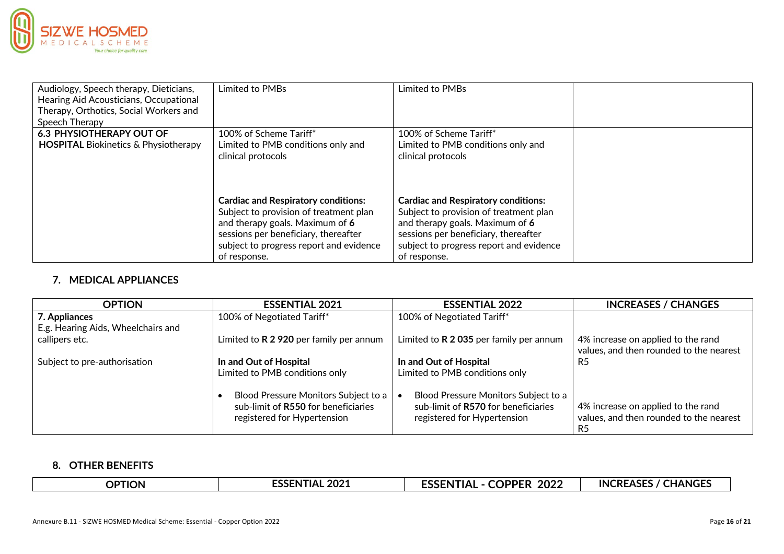

| Audiology, Speech therapy, Dieticians,<br>Hearing Aid Acousticians, Occupational<br>Therapy, Orthotics, Social Workers and<br>Speech Therapy | Limited to PMBs                            | Limited to PMBs                            |  |
|----------------------------------------------------------------------------------------------------------------------------------------------|--------------------------------------------|--------------------------------------------|--|
| <b>6.3 PHYSIOTHERAPY OUT OF</b>                                                                                                              | 100% of Scheme Tariff*                     | 100% of Scheme Tariff*                     |  |
| <b>HOSPITAL Biokinetics &amp; Physiotherapy</b>                                                                                              | Limited to PMB conditions only and         | Limited to PMB conditions only and         |  |
|                                                                                                                                              | clinical protocols                         | clinical protocols                         |  |
|                                                                                                                                              | <b>Cardiac and Respiratory conditions:</b> | <b>Cardiac and Respiratory conditions:</b> |  |
|                                                                                                                                              | Subject to provision of treatment plan     | Subject to provision of treatment plan     |  |
|                                                                                                                                              | and therapy goals. Maximum of 6            | and therapy goals. Maximum of 6            |  |
|                                                                                                                                              | sessions per beneficiary, thereafter       | sessions per beneficiary, thereafter       |  |
|                                                                                                                                              | subject to progress report and evidence    | subject to progress report and evidence    |  |
|                                                                                                                                              | of response.                               | of response.                               |  |

## **7. MEDICAL APPLIANCES**

| <b>OPTION</b>                      | <b>ESSENTIAL 2021</b>                                                       | <b>ESSENTIAL 2022</b>                                                       | <b>INCREASES / CHANGES</b>              |
|------------------------------------|-----------------------------------------------------------------------------|-----------------------------------------------------------------------------|-----------------------------------------|
| 7. Appliances                      | 100% of Negotiated Tariff*                                                  | 100% of Negotiated Tariff*                                                  |                                         |
| E.g. Hearing Aids, Wheelchairs and |                                                                             |                                                                             |                                         |
| callipers etc.                     | Limited to $R$ 2 920 per family per annum                                   | Limited to R 2 035 per family per annum                                     | 4% increase on applied to the rand      |
|                                    |                                                                             |                                                                             | values, and then rounded to the nearest |
| Subject to pre-authorisation       | In and Out of Hospital                                                      | In and Out of Hospital                                                      | R5                                      |
|                                    | Limited to PMB conditions only                                              | Limited to PMB conditions only                                              |                                         |
|                                    |                                                                             |                                                                             |                                         |
|                                    | Blood Pressure Monitors Subject to a<br>sub-limit of R550 for beneficiaries | Blood Pressure Monitors Subject to a<br>sub-limit of R570 for beneficiaries | 4% increase on applied to the rand      |
|                                    |                                                                             | registered for Hypertension                                                 | values, and then rounded to the nearest |
|                                    | registered for Hypertension                                                 |                                                                             |                                         |
|                                    |                                                                             |                                                                             | R5                                      |

#### **8. OTHER BENEFITS**

| 2021<br>------<br><b>OPTION</b><br>TIAL<br>.שכנ | <b>COPPER</b><br><b>TIAL</b><br>2022<br>'N<br>∵י ככ_ | <b>INCREASES</b><br><b>CHANGES</b> |
|-------------------------------------------------|------------------------------------------------------|------------------------------------|
|-------------------------------------------------|------------------------------------------------------|------------------------------------|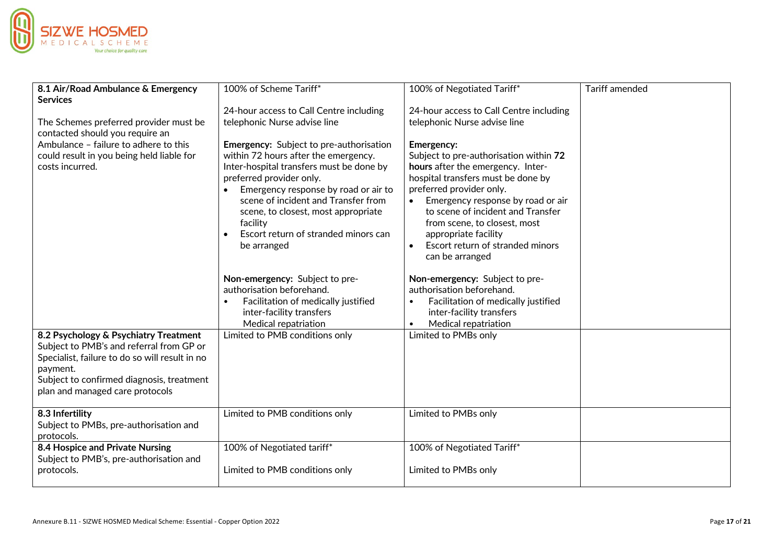

| 8.1 Air/Road Ambulance & Emergency<br><b>Services</b>                                                                                                                                                                           | 100% of Scheme Tariff*                                                                                                                                                                                                                                                                                                                                  | 100% of Negotiated Tariff*                                                                                                                                                                                                                                                                                                                                  | <b>Tariff amended</b> |
|---------------------------------------------------------------------------------------------------------------------------------------------------------------------------------------------------------------------------------|---------------------------------------------------------------------------------------------------------------------------------------------------------------------------------------------------------------------------------------------------------------------------------------------------------------------------------------------------------|-------------------------------------------------------------------------------------------------------------------------------------------------------------------------------------------------------------------------------------------------------------------------------------------------------------------------------------------------------------|-----------------------|
|                                                                                                                                                                                                                                 | 24-hour access to Call Centre including                                                                                                                                                                                                                                                                                                                 | 24-hour access to Call Centre including                                                                                                                                                                                                                                                                                                                     |                       |
| The Schemes preferred provider must be<br>contacted should you require an                                                                                                                                                       | telephonic Nurse advise line                                                                                                                                                                                                                                                                                                                            | telephonic Nurse advise line                                                                                                                                                                                                                                                                                                                                |                       |
| Ambulance - failure to adhere to this<br>could result in you being held liable for<br>costs incurred.                                                                                                                           | <b>Emergency:</b> Subject to pre-authorisation<br>within 72 hours after the emergency.<br>Inter-hospital transfers must be done by<br>preferred provider only.<br>Emergency response by road or air to<br>scene of incident and Transfer from<br>scene, to closest, most appropriate<br>facility<br>Escort return of stranded minors can<br>be arranged | <b>Emergency:</b><br>Subject to pre-authorisation within 72<br>hours after the emergency. Inter-<br>hospital transfers must be done by<br>preferred provider only.<br>Emergency response by road or air<br>to scene of incident and Transfer<br>from scene, to closest, most<br>appropriate facility<br>Escort return of stranded minors<br>can be arranged |                       |
|                                                                                                                                                                                                                                 | Non-emergency: Subject to pre-<br>authorisation beforehand.<br>Facilitation of medically justified<br>inter-facility transfers<br>Medical repatriation                                                                                                                                                                                                  | Non-emergency: Subject to pre-<br>authorisation beforehand.<br>Facilitation of medically justified<br>$\bullet$<br>inter-facility transfers<br>Medical repatriation<br>$\bullet$                                                                                                                                                                            |                       |
| 8.2 Psychology & Psychiatry Treatment<br>Subject to PMB's and referral from GP or<br>Specialist, failure to do so will result in no<br>payment.<br>Subject to confirmed diagnosis, treatment<br>plan and managed care protocols | Limited to PMB conditions only                                                                                                                                                                                                                                                                                                                          | Limited to PMBs only                                                                                                                                                                                                                                                                                                                                        |                       |
| 8.3 Infertility<br>Subject to PMBs, pre-authorisation and<br>protocols.                                                                                                                                                         | Limited to PMB conditions only                                                                                                                                                                                                                                                                                                                          | Limited to PMBs only                                                                                                                                                                                                                                                                                                                                        |                       |
| 8.4 Hospice and Private Nursing<br>Subject to PMB's, pre-authorisation and                                                                                                                                                      | 100% of Negotiated tariff*                                                                                                                                                                                                                                                                                                                              | 100% of Negotiated Tariff*                                                                                                                                                                                                                                                                                                                                  |                       |
| protocols.                                                                                                                                                                                                                      | Limited to PMB conditions only                                                                                                                                                                                                                                                                                                                          | Limited to PMBs only                                                                                                                                                                                                                                                                                                                                        |                       |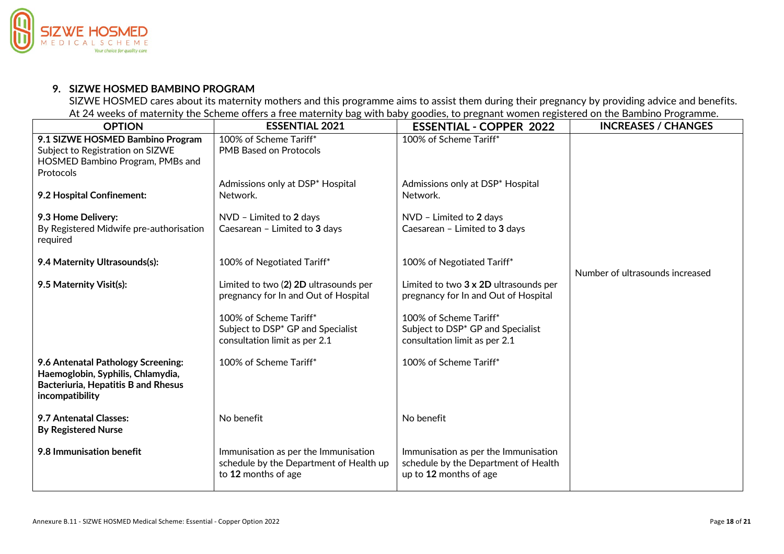

### **9. SIZWE HOSMED BAMBINO PROGRAM**

SIZWE HOSMED cares about its maternity mothers and this programme aims to assist them during their pregnancy by providing advice and benefits. At 24 weeks of maternity the Scheme offers a free maternity bag with baby goodies, to pregnant women registered on the Bambino Programme.

| <b>OPTION</b>                                                                                                                     | <b>ESSENTIAL 2021</b>                                                                                    | <b>ESSENTIAL - COPPER 2022</b>                                                                         | <b>INCREASES / CHANGES</b>      |
|-----------------------------------------------------------------------------------------------------------------------------------|----------------------------------------------------------------------------------------------------------|--------------------------------------------------------------------------------------------------------|---------------------------------|
| 9.1 SIZWE HOSMED Bambino Program<br>Subject to Registration on SIZWE<br>HOSMED Bambino Program, PMBs and<br>Protocols             | 100% of Scheme Tariff*<br><b>PMB Based on Protocols</b>                                                  | 100% of Scheme Tariff*                                                                                 |                                 |
| 9.2 Hospital Confinement:                                                                                                         | Admissions only at DSP* Hospital<br>Network.                                                             | Admissions only at DSP* Hospital<br>Network.                                                           |                                 |
| 9.3 Home Delivery:<br>By Registered Midwife pre-authorisation<br>required                                                         | NVD - Limited to 2 days<br>Caesarean - Limited to 3 days                                                 | NVD - Limited to 2 days<br>Caesarean - Limited to 3 days                                               |                                 |
| 9.4 Maternity Ultrasounds(s):                                                                                                     | 100% of Negotiated Tariff*                                                                               | 100% of Negotiated Tariff*                                                                             | Number of ultrasounds increased |
| 9.5 Maternity Visit(s):                                                                                                           | Limited to two (2) 2D ultrasounds per<br>pregnancy for In and Out of Hospital                            | Limited to two 3 x 2D ultrasounds per<br>pregnancy for In and Out of Hospital                          |                                 |
|                                                                                                                                   | 100% of Scheme Tariff*<br>Subject to DSP <sup>*</sup> GP and Specialist<br>consultation limit as per 2.1 | 100% of Scheme Tariff*<br>Subject to DSP* GP and Specialist<br>consultation limit as per 2.1           |                                 |
| 9.6 Antenatal Pathology Screening:<br>Haemoglobin, Syphilis, Chlamydia,<br>Bacteriuria, Hepatitis B and Rhesus<br>incompatibility | 100% of Scheme Tariff*                                                                                   | 100% of Scheme Tariff*                                                                                 |                                 |
| 9.7 Antenatal Classes:<br><b>By Registered Nurse</b>                                                                              | No benefit                                                                                               | No benefit                                                                                             |                                 |
| 9.8 Immunisation benefit                                                                                                          | Immunisation as per the Immunisation<br>schedule by the Department of Health up<br>to 12 months of age   | Immunisation as per the Immunisation<br>schedule by the Department of Health<br>up to 12 months of age |                                 |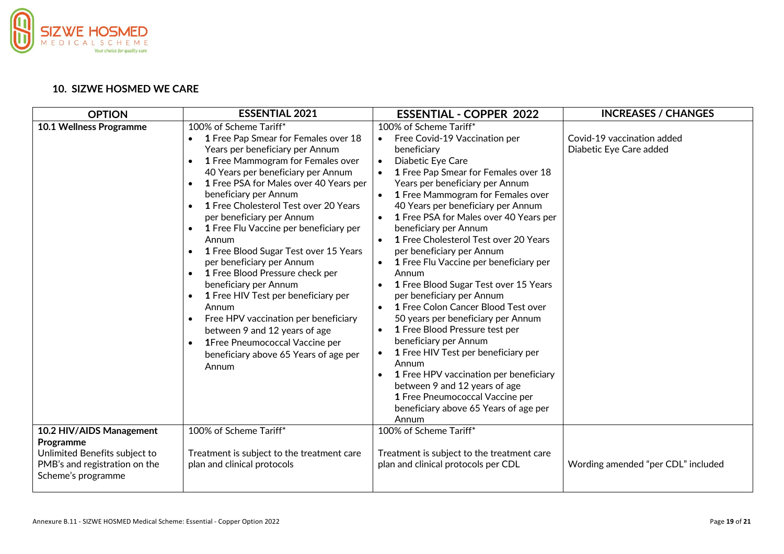

#### **10. SIZWE HOSMED WE CARE**

| <b>OPTION</b>                                                          | <b>ESSENTIAL 2021</b>                                                                                                                                                                                                                                                                                                                                                                                                                                                                                                                                                                                                                                                                                                                                          | <b>ESSENTIAL - COPPER 2022</b>                                                                                                                                                                                                                                                                                                                                                                                                                                                                                                                                                                                                                                                                                                                                                                                                                                                                                                                                                      | <b>INCREASES / CHANGES</b>                            |
|------------------------------------------------------------------------|----------------------------------------------------------------------------------------------------------------------------------------------------------------------------------------------------------------------------------------------------------------------------------------------------------------------------------------------------------------------------------------------------------------------------------------------------------------------------------------------------------------------------------------------------------------------------------------------------------------------------------------------------------------------------------------------------------------------------------------------------------------|-------------------------------------------------------------------------------------------------------------------------------------------------------------------------------------------------------------------------------------------------------------------------------------------------------------------------------------------------------------------------------------------------------------------------------------------------------------------------------------------------------------------------------------------------------------------------------------------------------------------------------------------------------------------------------------------------------------------------------------------------------------------------------------------------------------------------------------------------------------------------------------------------------------------------------------------------------------------------------------|-------------------------------------------------------|
| <b>10.1 Wellness Programme</b>                                         | 100% of Scheme Tariff*<br>1 Free Pap Smear for Females over 18<br>$\bullet$<br>Years per beneficiary per Annum<br>1 Free Mammogram for Females over<br>40 Years per beneficiary per Annum<br>1 Free PSA for Males over 40 Years per<br>beneficiary per Annum<br>1 Free Cholesterol Test over 20 Years<br>per beneficiary per Annum<br>1 Free Flu Vaccine per beneficiary per<br>$\bullet$<br>Annum<br>1 Free Blood Sugar Test over 15 Years<br>per beneficiary per Annum<br>1 Free Blood Pressure check per<br>beneficiary per Annum<br>1 Free HIV Test per beneficiary per<br>Annum<br>Free HPV vaccination per beneficiary<br>between 9 and 12 years of age<br>1Free Pneumococcal Vaccine per<br>$\bullet$<br>beneficiary above 65 Years of age per<br>Annum | 100% of Scheme Tariff*<br>Free Covid-19 Vaccination per<br>$\bullet$<br>beneficiary<br>Diabetic Eye Care<br>$\bullet$<br>1 Free Pap Smear for Females over 18<br>$\bullet$<br>Years per beneficiary per Annum<br>1 Free Mammogram for Females over<br>$\bullet$<br>40 Years per beneficiary per Annum<br>1 Free PSA for Males over 40 Years per<br>$\bullet$<br>beneficiary per Annum<br>1 Free Cholesterol Test over 20 Years<br>$\bullet$<br>per beneficiary per Annum<br>1 Free Flu Vaccine per beneficiary per<br>Annum<br>1 Free Blood Sugar Test over 15 Years<br>per beneficiary per Annum<br>1 Free Colon Cancer Blood Test over<br>50 years per beneficiary per Annum<br>1 Free Blood Pressure test per<br>$\bullet$<br>beneficiary per Annum<br>1 Free HIV Test per beneficiary per<br>$\bullet$<br>Annum<br>1 Free HPV vaccination per beneficiary<br>between 9 and 12 years of age<br>1 Free Pneumococcal Vaccine per<br>beneficiary above 65 Years of age per<br>Annum | Covid-19 vaccination added<br>Diabetic Eye Care added |
| 10.2 HIV/AIDS Management<br>Programme<br>Unlimited Benefits subject to | 100% of Scheme Tariff*<br>Treatment is subject to the treatment care                                                                                                                                                                                                                                                                                                                                                                                                                                                                                                                                                                                                                                                                                           | 100% of Scheme Tariff*<br>Treatment is subject to the treatment care                                                                                                                                                                                                                                                                                                                                                                                                                                                                                                                                                                                                                                                                                                                                                                                                                                                                                                                |                                                       |
| PMB's and registration on the<br>Scheme's programme                    | plan and clinical protocols                                                                                                                                                                                                                                                                                                                                                                                                                                                                                                                                                                                                                                                                                                                                    | plan and clinical protocols per CDL                                                                                                                                                                                                                                                                                                                                                                                                                                                                                                                                                                                                                                                                                                                                                                                                                                                                                                                                                 | Wording amended "per CDL" included                    |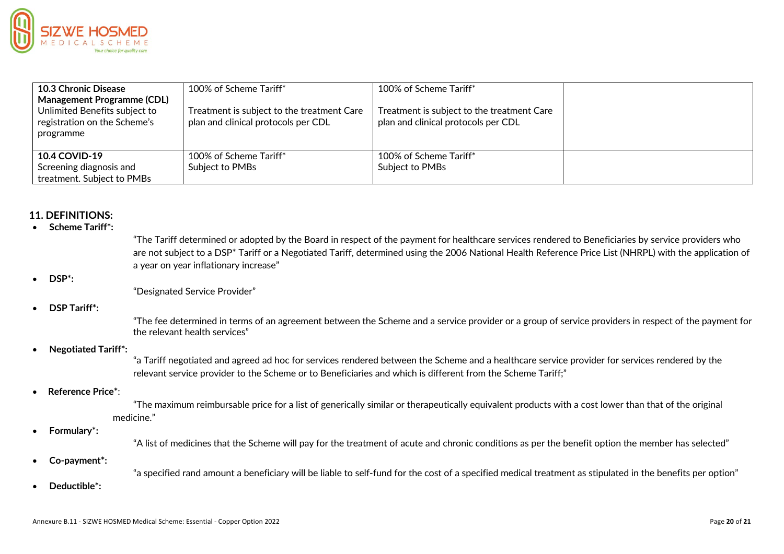

| <b>10.3 Chronic Disease</b>                                                                                     | 100% of Scheme Tariff*                                                            | 100% of Scheme Tariff*                                                            |  |
|-----------------------------------------------------------------------------------------------------------------|-----------------------------------------------------------------------------------|-----------------------------------------------------------------------------------|--|
| <b>Management Programme (CDL)</b><br>Unlimited Benefits subject to<br>registration on the Scheme's<br>programme | Treatment is subject to the treatment Care<br>plan and clinical protocols per CDL | Treatment is subject to the treatment Care<br>plan and clinical protocols per CDL |  |
| <b>10.4 COVID-19</b><br>Screening diagnosis and<br>treatment. Subject to PMBs                                   | 100% of Scheme Tariff*<br>Subject to PMBs                                         | 100% of Scheme Tariff*<br>Subject to PMBs                                         |  |

#### **11. DEFINITIONS:**

#### • **Scheme Tariff\*:**

"The Tariff determined or adopted by the Board in respect of the payment for healthcare services rendered to Beneficiaries by service providers who are not subject to a DSP<sup>\*</sup> Tariff or a Negotiated Tariff, determined using the 2006 National Health Reference Price List (NHRPL) with the application of a year on year inflationary increase"

#### • **DSP\*:**

"Designated Service Provider"

#### • **DSP Tariff\*:**

"The fee determined in terms of an agreement between the Scheme and a service provider or a group of service providers in respect of the payment for the relevant health services"

#### • **Negotiated Tariff\*:**

"a Tariff negotiated and agreed ad hoc for services rendered between the Scheme and a healthcare service provider for services rendered by the relevant service provider to the Scheme or to Beneficiaries and which is different from the Scheme Tariff;"

#### • **Reference Price\***:

"The maximum reimbursable price for a list of generically similar or therapeutically equivalent products with a cost lower than that of the original medicine."

#### • **Formulary\*:**

"A list of medicines that the Scheme will pay for the treatment of acute and chronic conditions as per the benefit option the member has selected"

#### • **Co-payment\*:**

"a specified rand amount a beneficiary will be liable to self-fund for the cost of a specified medical treatment as stipulated in the benefits per option"

• **Deductible\*:**